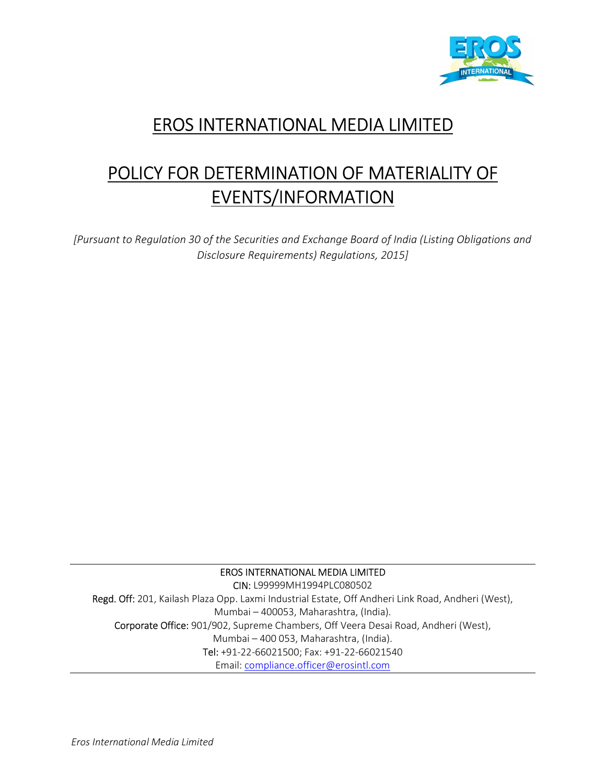

## EROS INTERNATIONAL MEDIA LIMITED

# POLICY FOR DETERMINATION OF MATERIALITY OF EVENTS/INFORMATION

[Pursuant to Regulation 30 of the Securities and Exchange Board of India (Listing Obligations and Disclosure Requirements) Regulations, 2015]

EROS INTERNATIONAL MEDIA LIMITED

CIN: L99999MH1994PLC080502 Regd. Off: 201, Kailash Plaza Opp. Laxmi Industrial Estate, Off Andheri Link Road, Andheri (West), Mumbai – 400053, Maharashtra, (India). Corporate Office: 901/902, Supreme Chambers, Off Veera Desai Road, Andheri (West), Mumbai – 400 053, Maharashtra, (India). Tel: +91-22-66021500; Fax: +91-22-66021540 Email: compliance.officer@erosintl.com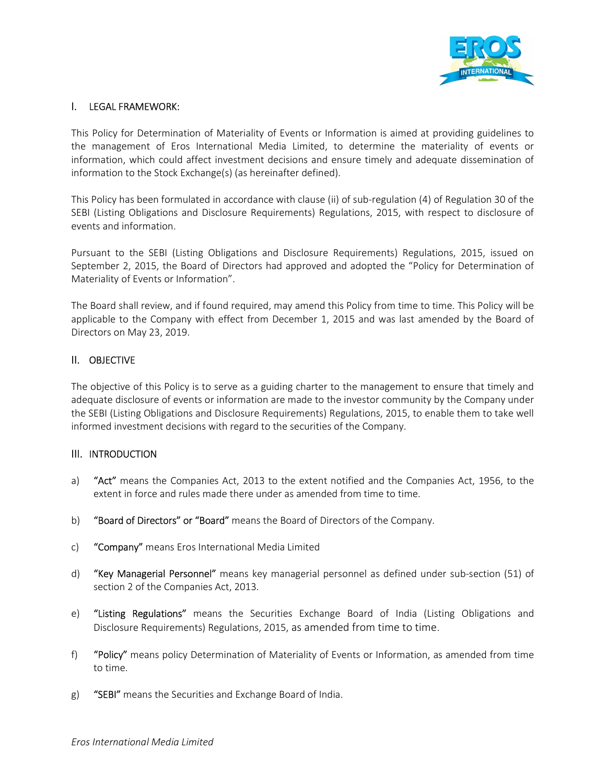

## I. LEGAL FRAMEWORK:

This Policy for Determination of Materiality of Events or Information is aimed at providing guidelines to the management of Eros International Media Limited, to determine the materiality of events or information, which could affect investment decisions and ensure timely and adequate dissemination of information to the Stock Exchange(s) (as hereinafter defined).

This Policy has been formulated in accordance with clause (ii) of sub-regulation (4) of Regulation 30 of the SEBI (Listing Obligations and Disclosure Requirements) Regulations, 2015, with respect to disclosure of events and information.

Pursuant to the SEBI (Listing Obligations and Disclosure Requirements) Regulations, 2015, issued on September 2, 2015, the Board of Directors had approved and adopted the "Policy for Determination of Materiality of Events or Information".

The Board shall review, and if found required, may amend this Policy from time to time. This Policy will be applicable to the Company with effect from December 1, 2015 and was last amended by the Board of Directors on May 23, 2019.

#### II. OBJECTIVE

The objective of this Policy is to serve as a guiding charter to the management to ensure that timely and adequate disclosure of events or information are made to the investor community by the Company under the SEBI (Listing Obligations and Disclosure Requirements) Regulations, 2015, to enable them to take well informed investment decisions with regard to the securities of the Company.

#### III. INTRODUCTION

- a) "Act" means the Companies Act, 2013 to the extent notified and the Companies Act, 1956, to the extent in force and rules made there under as amended from time to time.
- b) "Board of Directors" or "Board" means the Board of Directors of the Company.
- c) "Company" means Eros International Media Limited
- d) "Key Managerial Personnel" means key managerial personnel as defined under sub-section (51) of section 2 of the Companies Act, 2013.
- e) "Listing Regulations" means the Securities Exchange Board of India (Listing Obligations and Disclosure Requirements) Regulations, 2015, as amended from time to time.
- f) "Policy" means policy Determination of Materiality of Events or Information, as amended from time to time.
- g) "SEBI" means the Securities and Exchange Board of India.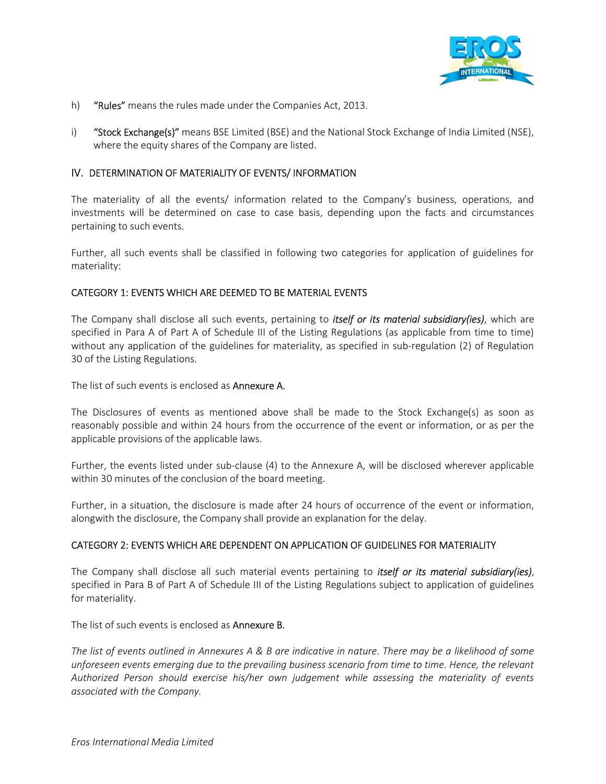

- h) "Rules" means the rules made under the Companies Act, 2013.
- i) "Stock Exchange(s)" means BSE Limited (BSE) and the National Stock Exchange of India Limited (NSE), where the equity shares of the Company are listed.

#### IV. DETERMINATION OF MATERIALITY OF EVENTS/ INFORMATION

The materiality of all the events/ information related to the Company's business, operations, and investments will be determined on case to case basis, depending upon the facts and circumstances pertaining to such events.

Further, all such events shall be classified in following two categories for application of guidelines for materiality:

#### CATEGORY 1: EVENTS WHICH ARE DEEMED TO BE MATERIAL EVENTS

The Company shall disclose all such events, pertaining to *itself or its material subsidiary(ies)*, which are specified in Para A of Part A of Schedule III of the Listing Regulations (as applicable from time to time) without any application of the guidelines for materiality, as specified in sub-regulation (2) of Regulation 30 of the Listing Regulations.

The list of such events is enclosed as **Annexure A.** 

The Disclosures of events as mentioned above shall be made to the Stock Exchange(s) as soon as reasonably possible and within 24 hours from the occurrence of the event or information, or as per the applicable provisions of the applicable laws.

Further, the events listed under sub-clause (4) to the Annexure A, will be disclosed wherever applicable within 30 minutes of the conclusion of the board meeting.

Further, in a situation, the disclosure is made after 24 hours of occurrence of the event or information, alongwith the disclosure, the Company shall provide an explanation for the delay.

#### CATEGORY 2: EVENTS WHICH ARE DEPENDENT ON APPLICATION OF GUIDELINES FOR MATERIALITY

The Company shall disclose all such material events pertaining to *itself or its material subsidiary(ies)*, specified in Para B of Part A of Schedule III of the Listing Regulations subject to application of guidelines for materiality.

The list of such events is enclosed as **Annexure B.** 

The list of events outlined in Annexures A & B are indicative in nature. There may be a likelihood of some unforeseen events emerging due to the prevailing business scenario from time to time. Hence, the relevant Authorized Person should exercise his/her own judgement while assessing the materiality of events associated with the Company.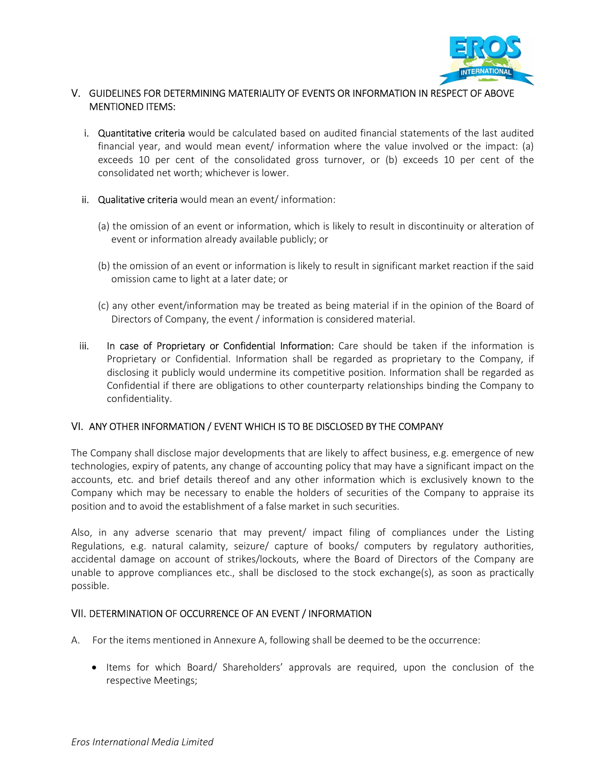

## V. GUIDELINES FOR DETERMINING MATERIALITY OF EVENTS OR INFORMATION IN RESPECT OF ABOVE MENTIONED ITEMS:

- i. Quantitative criteria would be calculated based on audited financial statements of the last audited financial year, and would mean event/ information where the value involved or the impact: (a) exceeds 10 per cent of the consolidated gross turnover, or (b) exceeds 10 per cent of the consolidated net worth; whichever is lower.
- ii. Qualitative criteria would mean an event/ information:
	- (a) the omission of an event or information, which is likely to result in discontinuity or alteration of event or information already available publicly; or
	- (b) the omission of an event or information is likely to result in significant market reaction if the said omission came to light at a later date; or
	- (c) any other event/information may be treated as being material if in the opinion of the Board of Directors of Company, the event / information is considered material.
- iii. In case of Proprietary or Confidential Information: Care should be taken if the information is Proprietary or Confidential. Information shall be regarded as proprietary to the Company, if disclosing it publicly would undermine its competitive position. Information shall be regarded as Confidential if there are obligations to other counterparty relationships binding the Company to confidentiality.

## VI. ANY OTHER INFORMATION / EVENT WHICH IS TO BE DISCLOSED BY THE COMPANY

The Company shall disclose major developments that are likely to affect business, e.g. emergence of new technologies, expiry of patents, any change of accounting policy that may have a significant impact on the accounts, etc. and brief details thereof and any other information which is exclusively known to the Company which may be necessary to enable the holders of securities of the Company to appraise its position and to avoid the establishment of a false market in such securities.

Also, in any adverse scenario that may prevent/ impact filing of compliances under the Listing Regulations, e.g. natural calamity, seizure/ capture of books/ computers by regulatory authorities, accidental damage on account of strikes/lockouts, where the Board of Directors of the Company are unable to approve compliances etc., shall be disclosed to the stock exchange(s), as soon as practically possible.

#### VII. DETERMINATION OF OCCURRENCE OF AN EVENT / INFORMATION

- A. For the items mentioned in Annexure A, following shall be deemed to be the occurrence:
	- Items for which Board/ Shareholders' approvals are required, upon the conclusion of the respective Meetings;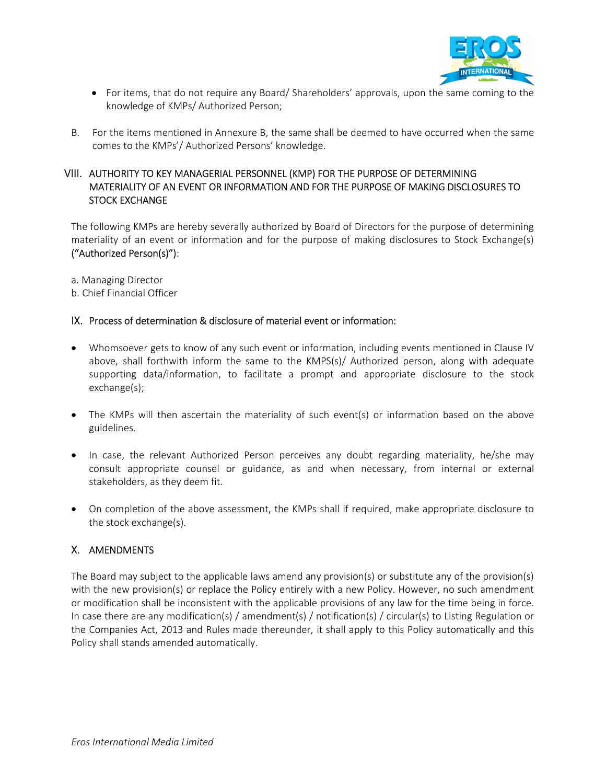

- For items, that do not require any Board/ Shareholders' approvals, upon the same coming to the knowledge of KMPs/ Authorized Person;
- B. For the items mentioned in Annexure B, the same shall be deemed to have occurred when the same comes to the KMPs'/ Authorized Persons' knowledge.

## VIII. AUTHORITY TO KEY MANAGERIAL PERSONNEL (KMP) FOR THE PURPOSE OF DETERMINING MATERIALITY OF AN EVENT OR INFORMATION AND FOR THE PURPOSE OF MAKING DISCLOSURES TO STOCK EXCHANGE

The following KMPs are hereby severally authorized by Board of Directors for the purpose of determining materiality of an event or information and for the purpose of making disclosures to Stock Exchange(s) ("Authorized Person(s)"):

- a. Managing Director
- b. Chief Financial Officer

#### IX. Process of determination & disclosure of material event or information:

- Whomsoever gets to know of any such event or information, including events mentioned in Clause IV above, shall forthwith inform the same to the KMPS(s)/ Authorized person, along with adequate supporting data/information, to facilitate a prompt and appropriate disclosure to the stock exchange(s);
- The KMPs will then ascertain the materiality of such event(s) or information based on the above guidelines.
- In case, the relevant Authorized Person perceives any doubt regarding materiality, he/she may consult appropriate counsel or guidance, as and when necessary, from internal or external stakeholders, as they deem fit.
- On completion of the above assessment, the KMPs shall if required, make appropriate disclosure to the stock exchange(s).

#### X. AMENDMENTS

The Board may subject to the applicable laws amend any provision(s) or substitute any of the provision(s) with the new provision(s) or replace the Policy entirely with a new Policy. However, no such amendment or modification shall be inconsistent with the applicable provisions of any law for the time being in force. In case there are any modification(s) / amendment(s) / notification(s) / circular(s) to Listing Regulation or the Companies Act, 2013 and Rules made thereunder, it shall apply to this Policy automatically and this Policy shall stands amended automatically.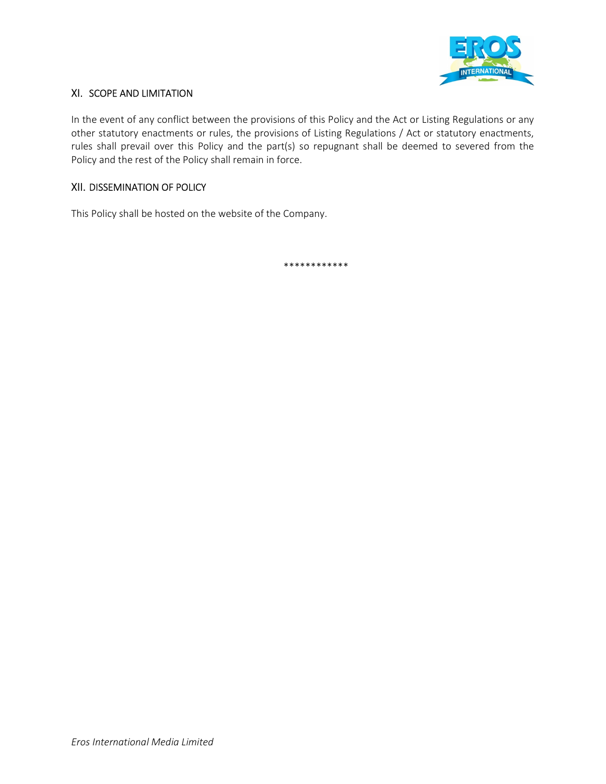

## XI. SCOPE AND LIMITATION

In the event of any conflict between the provisions of this Policy and the Act or Listing Regulations or any other statutory enactments or rules, the provisions of Listing Regulations / Act or statutory enactments, rules shall prevail over this Policy and the part(s) so repugnant shall be deemed to severed from the Policy and the rest of the Policy shall remain in force.

## XII. DISSEMINATION OF POLICY

This Policy shall be hosted on the website of the Company.

\*\*\*\*\*\*\*\*\*\*\*\*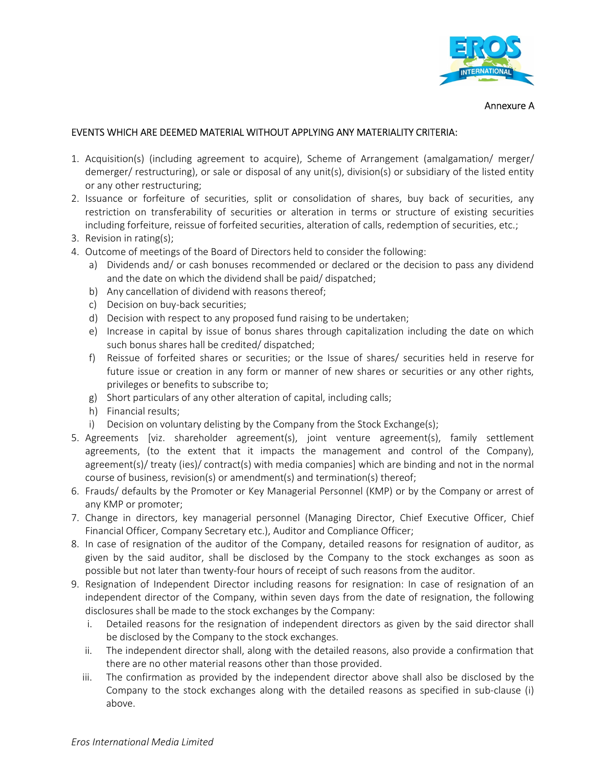

Annexure A

## EVENTS WHICH ARE DEEMED MATERIAL WITHOUT APPLYING ANY MATERIALITY CRITERIA:

- 1. Acquisition(s) (including agreement to acquire), Scheme of Arrangement (amalgamation/ merger/ demerger/ restructuring), or sale or disposal of any unit(s), division(s) or subsidiary of the listed entity or any other restructuring;
- 2. Issuance or forfeiture of securities, split or consolidation of shares, buy back of securities, any restriction on transferability of securities or alteration in terms or structure of existing securities including forfeiture, reissue of forfeited securities, alteration of calls, redemption of securities, etc.;
- 3. Revision in rating(s);
- 4. Outcome of meetings of the Board of Directors held to consider the following:
	- a) Dividends and/ or cash bonuses recommended or declared or the decision to pass any dividend and the date on which the dividend shall be paid/ dispatched;
	- b) Any cancellation of dividend with reasons thereof;
	- c) Decision on buy-back securities;
	- d) Decision with respect to any proposed fund raising to be undertaken;
	- e) Increase in capital by issue of bonus shares through capitalization including the date on which such bonus shares hall be credited/ dispatched;
	- f) Reissue of forfeited shares or securities; or the Issue of shares/ securities held in reserve for future issue or creation in any form or manner of new shares or securities or any other rights, privileges or benefits to subscribe to;
	- g) Short particulars of any other alteration of capital, including calls;
	- h) Financial results;
	- i) Decision on voluntary delisting by the Company from the Stock Exchange(s);
- 5. Agreements [viz. shareholder agreement(s), joint venture agreement(s), family settlement agreements, (to the extent that it impacts the management and control of the Company), agreement(s)/ treaty (ies)/ contract(s) with media companies] which are binding and not in the normal course of business, revision(s) or amendment(s) and termination(s) thereof;
- 6. Frauds/ defaults by the Promoter or Key Managerial Personnel (KMP) or by the Company or arrest of any KMP or promoter;
- 7. Change in directors, key managerial personnel (Managing Director, Chief Executive Officer, Chief Financial Officer, Company Secretary etc.), Auditor and Compliance Officer;
- 8. In case of resignation of the auditor of the Company, detailed reasons for resignation of auditor, as given by the said auditor, shall be disclosed by the Company to the stock exchanges as soon as possible but not later than twenty-four hours of receipt of such reasons from the auditor.
- 9. Resignation of Independent Director including reasons for resignation: In case of resignation of an independent director of the Company, within seven days from the date of resignation, the following disclosures shall be made to the stock exchanges by the Company:
	- i. Detailed reasons for the resignation of independent directors as given by the said director shall be disclosed by the Company to the stock exchanges.
	- ii. The independent director shall, along with the detailed reasons, also provide a confirmation that there are no other material reasons other than those provided.
	- iii. The confirmation as provided by the independent director above shall also be disclosed by the Company to the stock exchanges along with the detailed reasons as specified in sub-clause (i) above.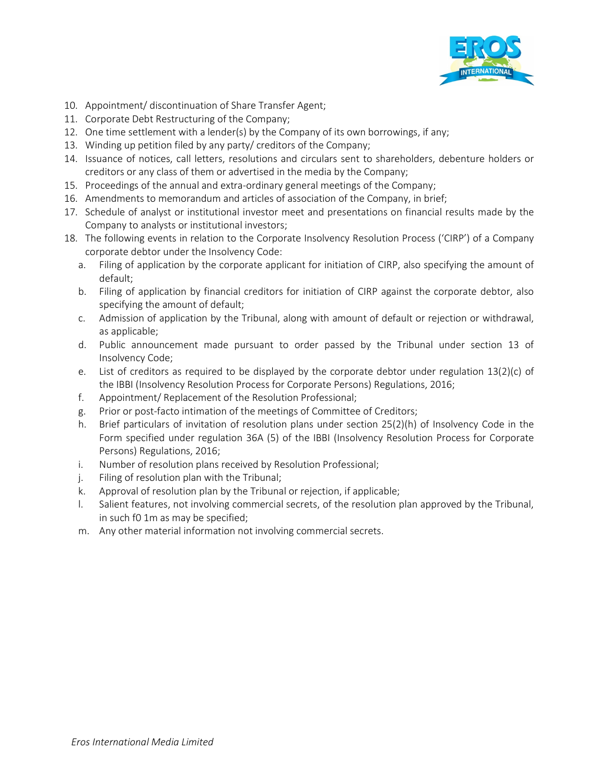

- 10. Appointment/ discontinuation of Share Transfer Agent;
- 11. Corporate Debt Restructuring of the Company;
- 12. One time settlement with a lender(s) by the Company of its own borrowings, if any;
- 13. Winding up petition filed by any party/ creditors of the Company;
- 14. Issuance of notices, call letters, resolutions and circulars sent to shareholders, debenture holders or creditors or any class of them or advertised in the media by the Company;
- 15. Proceedings of the annual and extra-ordinary general meetings of the Company;
- 16. Amendments to memorandum and articles of association of the Company, in brief;
- 17. Schedule of analyst or institutional investor meet and presentations on financial results made by the Company to analysts or institutional investors;
- 18. The following events in relation to the Corporate Insolvency Resolution Process ('CIRP') of a Company corporate debtor under the Insolvency Code:
	- a. Filing of application by the corporate applicant for initiation of CIRP, also specifying the amount of default;
	- b. Filing of application by financial creditors for initiation of CIRP against the corporate debtor, also specifying the amount of default;
	- c. Admission of application by the Tribunal, along with amount of default or rejection or withdrawal, as applicable;
	- d. Public announcement made pursuant to order passed by the Tribunal under section 13 of Insolvency Code;
	- e. List of creditors as required to be displayed by the corporate debtor under regulation 13(2)(c) of the IBBI (Insolvency Resolution Process for Corporate Persons) Regulations, 2016;
	- f. Appointment/ Replacement of the Resolution Professional;
	- g. Prior or post-facto intimation of the meetings of Committee of Creditors;
	- h. Brief particulars of invitation of resolution plans under section 25(2)(h) of Insolvency Code in the Form specified under regulation 36A (5) of the IBBI (Insolvency Resolution Process for Corporate Persons) Regulations, 2016;
	- i. Number of resolution plans received by Resolution Professional;
	- j. Filing of resolution plan with the Tribunal;
	- k. Approval of resolution plan by the Tribunal or rejection, if applicable;
	- l. Salient features, not involving commercial secrets, of the resolution plan approved by the Tribunal, in such f0 1m as may be specified;
	- m. Any other material information not involving commercial secrets.